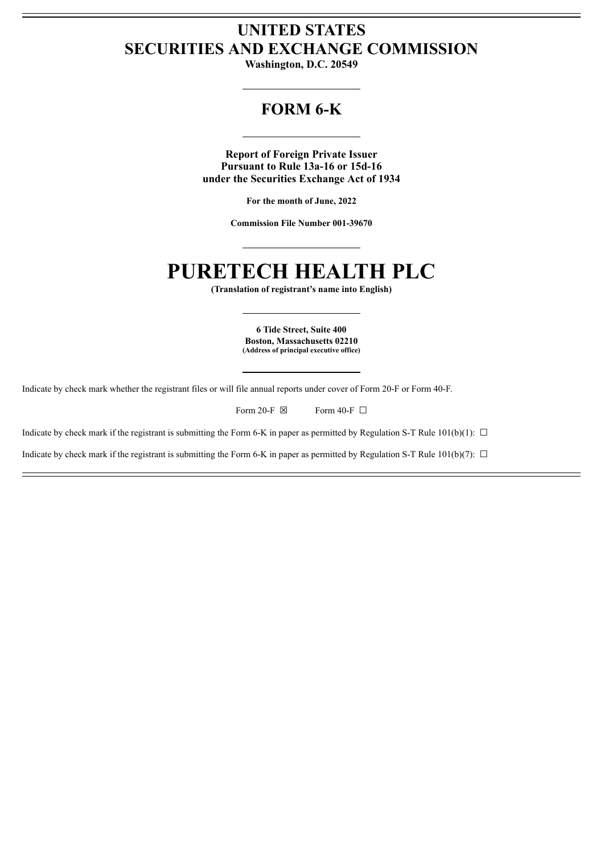# **UNITED STATES SECURITIES AND EXCHANGE COMMISSION**

**Washington, D.C. 20549**

# **FORM 6-K**

**Report of Foreign Private Issuer Pursuant to Rule 13a-16 or 15d-16 under the Securities Exchange Act of 1934**

**For the month of June, 2022**

**Commission File Number 001-39670**

# **PURETECH HEALTH PLC**

**(Translation of registrant's name into English)**

**6 Tide Street, Suite 400 Boston, Massachusetts 02210 (Address of principal executive office)**

Indicate by check mark whether the registrant files or will file annual reports under cover of Form 20-F or Form 40-F.

Form 20-F  $\boxtimes$  Form 40-F  $\Box$ 

Indicate by check mark if the registrant is submitting the Form 6-K in paper as permitted by Regulation S-T Rule 101(b)(1):  $\Box$ 

Indicate by check mark if the registrant is submitting the Form 6-K in paper as permitted by Regulation S-T Rule 101(b)(7):  $\Box$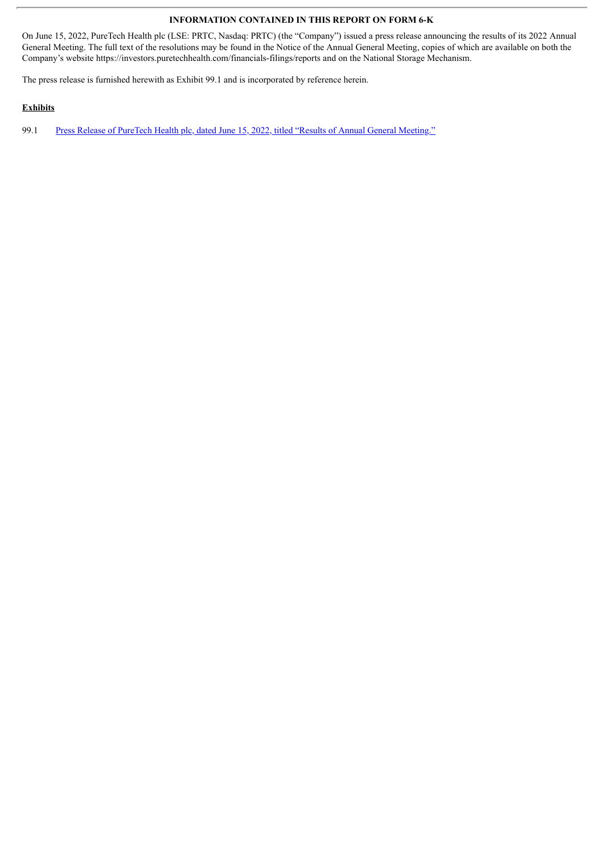#### **INFORMATION CONTAINED IN THIS REPORT ON FORM 6-K**

On June 15, 2022, PureTech Health plc (LSE: PRTC, Nasdaq: PRTC) (the "Company") issued a press release announcing the results of its 2022 Annual General Meeting. The full text of the resolutions may be found in the Notice of the Annual General Meeting, copies of which are available on both the Company's website https://investors.puretechhealth.com/financials-filings/reports and on the National Storage Mechanism.

The press release is furnished herewith as Exhibit 99.1 and is incorporated by reference herein.

### **Exhibits**

99.1 Press Release of PureTech Health plc, dated June 15, 2022, titled "Results of Annual General [Meeting."](#page-3-0)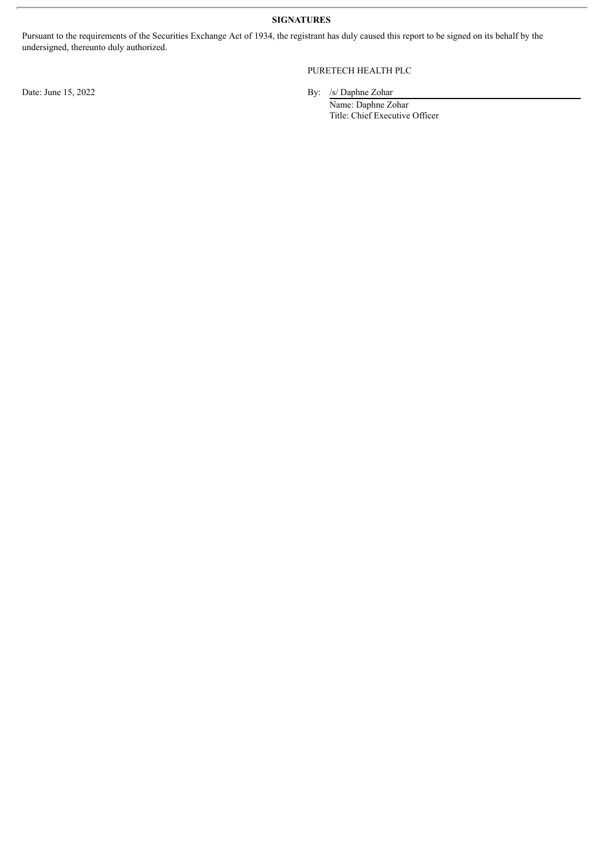**SIGNATURES**

Pursuant to the requirements of the Securities Exchange Act of 1934, the registrant has duly caused this report to be signed on its behalf by the undersigned, thereunto duly authorized.

## PURETECH HEALTH PLC

Date: June 15, 2022 By: /s/ Daphne Zohar

Name: Daphne Zohar Title: Chief Executive Officer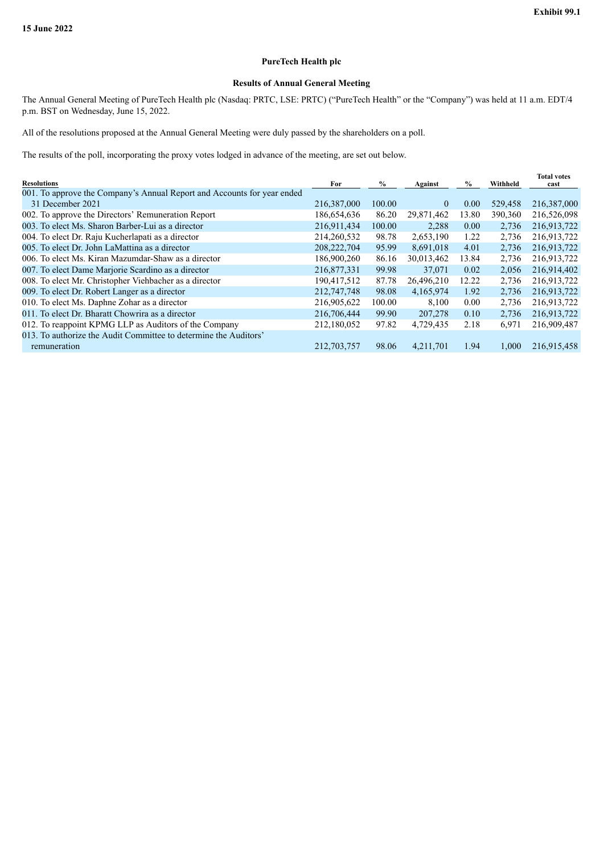#### **PureTech Health plc**

## **Results of Annual General Meeting**

<span id="page-3-0"></span>The Annual General Meeting of PureTech Health plc (Nasdaq: PRTC, LSE: PRTC) ("PureTech Health" or the "Company") was held at 11 a.m. EDT/4 p.m. BST on Wednesday, June 15, 2022.

All of the resolutions proposed at the Annual General Meeting were duly passed by the shareholders on a poll.

The results of the poll, incorporating the proxy votes lodged in advance of the meeting, are set out below.

| <b>Resolutions</b>                                                      | For         | $\%$   | Against    | $\frac{0}{0}$ | Withheld | <b>Total votes</b><br>cast |
|-------------------------------------------------------------------------|-------------|--------|------------|---------------|----------|----------------------------|
| 001. To approve the Company's Annual Report and Accounts for year ended |             |        |            |               |          |                            |
| 31 December 2021                                                        | 216,387,000 | 100.00 | $\theta$   | 0.00          | 529,458  | 216,387,000                |
| 002. To approve the Directors' Remuneration Report                      | 186,654,636 | 86.20  | 29,871,462 | 13.80         | 390,360  | 216,526,098                |
| 003. To elect Ms. Sharon Barber-Lui as a director                       | 216,911,434 | 100.00 | 2,288      | 0.00          | 2,736    | 216,913,722                |
| 004. To elect Dr. Raju Kucherlapati as a director                       | 214,260,532 | 98.78  | 2,653,190  | 1.22          | 2,736    | 216,913,722                |
| 005. To elect Dr. John LaMattina as a director                          | 208,222,704 | 95.99  | 8,691,018  | 4.01          | 2,736    | 216,913,722                |
| 006. To elect Ms. Kiran Mazumdar-Shaw as a director                     | 186,900,260 | 86.16  | 30,013,462 | 13.84         | 2,736    | 216,913,722                |
| 007. To elect Dame Marjorie Scardino as a director                      | 216,877,331 | 99.98  | 37,071     | 0.02          | 2,056    | 216,914,402                |
| 008. To elect Mr. Christopher Viehbacher as a director                  | 190,417,512 | 87.78  | 26,496,210 | 12.22         | 2,736    | 216,913,722                |
| 009. To elect Dr. Robert Langer as a director                           | 212,747,748 | 98.08  | 4,165,974  | 1.92          | 2,736    | 216,913,722                |
| 010. To elect Ms. Daphne Zohar as a director                            | 216,905,622 | 100.00 | 8,100      | 0.00          | 2,736    | 216,913,722                |
| 011. To elect Dr. Bharatt Chowrira as a director                        | 216,706,444 | 99.90  | 207,278    | 0.10          | 2,736    | 216,913,722                |
| 012. To reappoint KPMG LLP as Auditors of the Company                   | 212,180,052 | 97.82  | 4,729,435  | 2.18          | 6,971    | 216,909,487                |
| 013. To authorize the Audit Committee to determine the Auditors'        |             |        |            |               |          |                            |
| remuneration                                                            | 212,703,757 | 98.06  | 4,211,701  | 1.94          | 1.000    | 216.915.458                |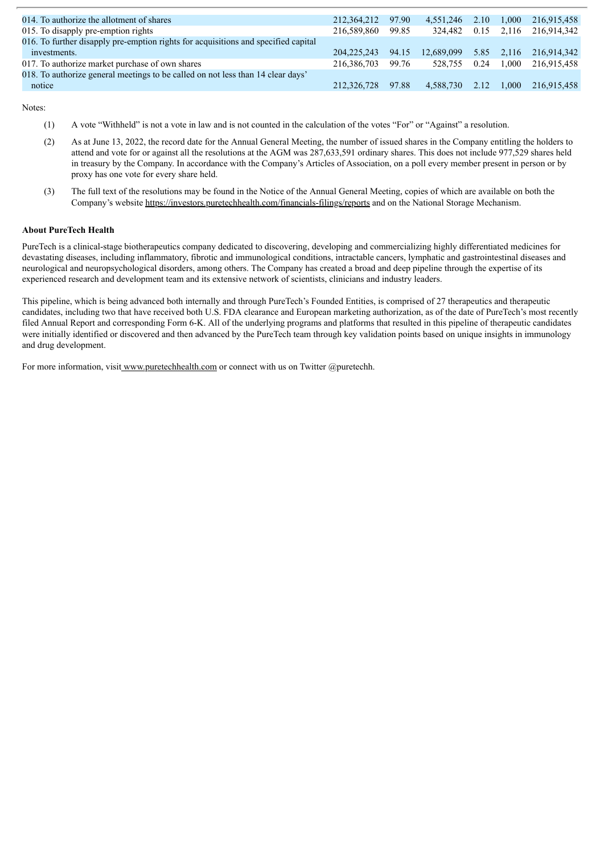| 014. To authorize the allotment of shares                                          | 212,364,212   | 97.90 | 4.551.246  | 2.10 | 1.000        | 216,915,458 |
|------------------------------------------------------------------------------------|---------------|-------|------------|------|--------------|-------------|
| 015. To disapply pre-emption rights                                                | 216.589.860   | 99.85 | 324.482    |      | $0.15$ 2.116 | 216.914.342 |
| 016. To further disapply pre-emption rights for acquisitions and specified capital |               |       |            |      |              |             |
| investments.                                                                       | 204, 225, 243 | 94.15 | 12,689,099 |      | 5.85 2,116   | 216.914.342 |
| 017. To authorize market purchase of own shares                                    | 216,386,703   | 99.76 | 528.755    | 0.24 | 1.000        | 216,915,458 |
| 018. To authorize general meetings to be called on not less than 14 clear days'    |               |       |            |      |              |             |
| notice                                                                             | 212,326,728   | 97.88 | 4,588,730  | 2.12 | 1.000        | 216.915.458 |

Notes:

- (1) A vote "Withheld" is not a vote in law and is not counted in the calculation of the votes "For" or "Against" a resolution.
- (2) As at June 13, 2022, the record date for the Annual General Meeting, the number of issued shares in the Company entitling the holders to attend and vote for or against all the resolutions at the AGM was 287,633,591 ordinary shares. This does not include 977,529 shares held in treasury by the Company. In accordance with the Company's Articles of Association, on a poll every member present in person or by proxy has one vote for every share held.
- (3) The full text of the resolutions may be found in the Notice of the Annual General Meeting, copies of which are available on both the Company's website https://investors.puretechhealth.com/financials-filings/reports and on the National Storage Mechanism.

#### **About PureTech Health**

PureTech is a clinical-stage biotherapeutics company dedicated to discovering, developing and commercializing highly differentiated medicines for devastating diseases, including inflammatory, fibrotic and immunological conditions, intractable cancers, lymphatic and gastrointestinal diseases and neurological and neuropsychological disorders, among others. The Company has created a broad and deep pipeline through the expertise of its experienced research and development team and its extensive network of scientists, clinicians and industry leaders.

This pipeline, which is being advanced both internally and through PureTech's Founded Entities, is comprised of 27 therapeutics and therapeutic candidates, including two that have received both U.S. FDA clearance and European marketing authorization, as of the date of PureTech's most recently filed Annual Report and corresponding Form 6-K. All of the underlying programs and platforms that resulted in this pipeline of therapeutic candidates were initially identified or discovered and then advanced by the PureTech team through key validation points based on unique insights in immunology and drug development.

For more information, visit www.puretechhealth.com or connect with us on Twitter @puretechh.